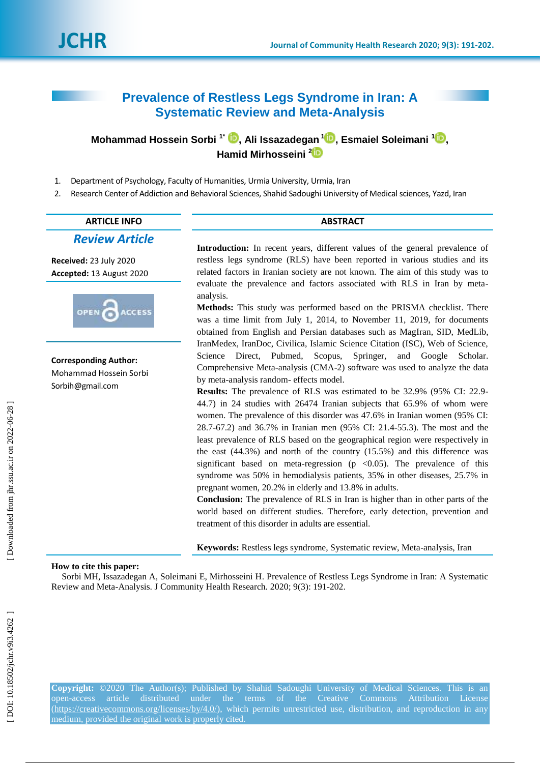# **Prevalence of Restless Legs Syndrome in Iran: A Systematic Review and Meta -Analysis**

**Mohammad Hossein Sorbi 1 \* , Ali Issazadegan 1 [,](https://orcid.org/0000-0002-6079-7918) Esma iel Soleimani 1 [,](https://orcid.org/0000-0002-7204-1229) Hamid Mirhosseini [2](https://orcid.org/0000-0002-3505-109x)**

- 1 . Department of Psychology, Faculty of Humanities, Urmia University, Urmia, Iran
- 2 . Research Center of Addiction and Behavioral Sciences, Shahid Sadoughi University of Medical sciences, Yazd, Iran

| <b>ARTICLE INFO</b>   | <b>ABSTRACT</b> |
|-----------------------|-----------------|
| <b>Review Article</b> |                 |

**Received:** 23 July 2020 **Accepted:** 1 3 August 2020



**Corresponding Author:** Mohammad Hossein Sorbi Sorbih@gmail.com

**Introduction:** In recent years, different values of the general prevalence of restless legs syndrome (RLS) have been reported in various studies and its related factors in Iranian society are not known. The aim of this study was to evaluate the prevalence and factors associated with RLS in Iran by meta analysis.

**Methods:** This study was performed based on the PRISMA checklist. There was a time limit from July 1, 2014 , to November 11, 2019 , for documents obtained from English and Persian databases such as Mag Iran, SID, MedLib, IranMedex, IranDoc, Civilica, Islamic Science Citation (ISC), Web of Science, Science Direct, Pubmed, Scopus, Springer, and Google Scholar. Comprehensive Meta -analysis (CMA -2) software was used to analyze the data by meta -analysis random - effects model.

Results: The prevalence of RLS was estimated to be 32.9% (95% CI: 22.9-44.7) in 24 studies with 26474 Iranian subjects that 65.9% of whom were women. The prevalence of this disorder was 47.6% in Iranian women (95% CI: 28.7 -67.2) and 36.7% in Iranian men (95% CI: 21.4 -55.3). The most and the least prevalence of RLS based on the geographical region were respectively in the east (44.3%) and north of the country (15.5%) and this difference was significant based on meta-regression ( $p \lt 0.05$ ). The prevalence of this syndrome was 50% in hemodialysis patients, 35% in other diseases, 25.7% in pregnant women, 20.2% in elderly and 13.8% in adults.

**Conclusion:** The prevalence of RLS in Iran is higher than in other parts of the world based on different studies. Therefore, early detection, prevention and treatment of this disorder in adults are essential.

Keywords: Restless legs syndrome, Systematic review, Meta-analysis, Iran

## **How to cite this paper:**

Sorbi MH, Issazadegan A, Soleimani E, Mirhosseini H . Prevalence of Restless Legs Syndrome in Iran: A Systematic Review and Meta-Analysis. J Community Health Research. 2020; 9(3): 191-202.

**Copyright:** ©2020 The Author(s); Published by Shahid Sadoughi University of Medical Sciences. This is an open-access [\(https://creativecommons.org/licenses/by/4.0/\)](https://creativecommons.org/licenses/by/4.0/), which permits unrestricted use, distribution, and reproduction in any medium, provided the original work is properly cited.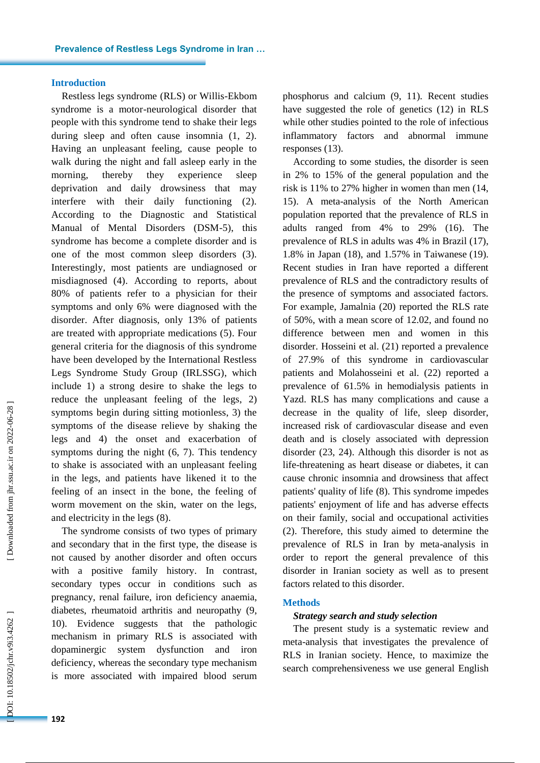#### **Introduction**

Restless legs syndrome (RLS) or Willis -Ekbom syndrome is a motor -neurological disorder that people with this syndrome tend to shake their legs during sleep and often cause insomnia (1, 2). Having an unpleasant feeling, cause people to walk during the night and fall asleep early in the morning, thereby they experience sleep deprivation and daily drowsiness that may interfere with their daily functioning (2). According to the Diagnostic and Statistical Manual of Mental Disorders (DSM -5), this syndrome has become a complete disorder and is one of the most common sleep disorders (3). Interestingly, most patients are undiagnosed or misdiagnosed (4). According to reports, about 80% of patients refer to a physician for their symptoms and only 6% were diagnosed with the disorder. After diagnosis, only 13% of patients are treated with appropriate medications (5). Four general criteria for the diagnosis of this syndrome have been developed by the International Restless Legs Syndrome Study Group (IRLSSG), which include 1) a strong desire to shake the legs to reduce the unpleasant feeling of the legs, 2) symptoms begin during sitting motionless, 3) the symptoms of the disease relieve by shaking the legs and 4) the onset and exacerbation of symptoms during the night (6, 7). This tendency to shake is associated with an unpleasant feeling in the legs, and patients have likened it to the feeling of an insect in the bone, the feeling of worm movement on the skin, water on the legs, and electricity in the legs (8).

The syndrome consists of two types of primary and secondary that in the first type, the disease is not caused by another disorder and often occurs with a positive family history. In contrast, secondary types occur in conditions such as pregnancy, renal failure, iron deficiency an aemia, diabetes, rheumatoid arthritis and neuropathy (9, 10). Evidence suggests that the pathologic mechanism in primary RLS is associated with dopaminergic system dysfunction and iron deficiency, whereas the secondary type mechanism is more associated with impaired blood serum

phosphorus and calcium (9, 11). Recent studies have suggested the role of genetics (12) in RLS while other studies pointed to the role of infectious inflammatory factors and abnormal immune responses (13).

According to some studies, the disorder is seen in 2% to 15% of the general population and the risk is 11% to 27% higher in women than men (14, 15). A meta -analysis of the North American population reported that the prevalence of RLS in adults ranged from 4 % to 29% (16). The prevalence of RLS in adults was 4% in Brazil (17), 1.8% in Japan (18), and 1.57% in Taiwanese (19). Recent studies in Iran have reported a different prevalence of RLS and the contradictory results of the presence of symptoms and associated factors. For example, Jamalnia (20) reported the RLS rate of 50%, with a mean score of 12.02, and found no difference between men and women in this disorder. Hosseini et al. (21) reported a prevalence of 27.9% of this syndrome in cardiovascular patients and Molahosseini et al. (22) reported a prevalence of 61.5% in hemodialysis patients in Yazd. RLS ha s many complications and cause a decrease in the quality of life, sleep disorder, increased risk of cardiovascular disease and even death and is closely associated with depression disorder (23, 24). Although this disorder is not as life -threatening as heart disease or diabetes, it can cause chronic insomnia and drowsiness that affect patients' quality of life (8). This syndrome impedes patients' enjoyment of life and has adverse effects on their family, social and occupational activities (2). Therefore, this study aimed to determine the prevalence of RLS in Iran by meta -analysis in order to report the general prevalence of this disorder in Iranian society as well as to present factors related to this disorder.

#### **Methods**

### *Strategy search and study selection*

The present study is a systematic review and meta -analysis that investigates the prevalence of RLS in Iranian society. Hence, to maximize the search comprehensiveness we use general English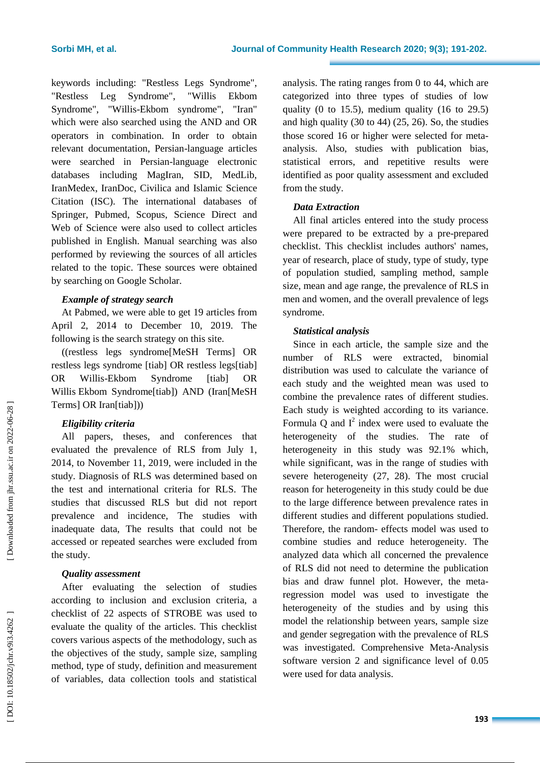keywords including : "Restless Legs Syndrome ", "Restless Leg Syndrome ", "Willis Ekbom Syndrome", "Willis-Ekbom syndrome", "Iran" which were also searched using the AND and OR operators in combination. In order to obtain relevant documentation, Persian -language articles were searched in Persian -language electronic databases including MagIran, SID, MedLib, IranMedex, IranDoc, Civilica and Islamic Science Citation (ISC). The international databases of Springer, Pubmed, Scopus, Science Direct and Web of Science were also used to collect articles published in English. Manual searching was also performed by reviewing the sources of all articles related to the topic. These sources were obtained by searching on Google Scholar.

## *Example of strategy search*

At Pabmed, we were able to get 19 articles from April 2, 2014 to December 10, 2019. The following is the search strategy on this site.

((restless legs syndrome[MeSH Terms] OR restless legs syndrome [tiab] OR restless legs[tiab] OR Willis-Ekbom Syndrome [tiab] OR Willis Ekbom Syndrome[tiab]) AND (Iran[MeSH Terms] OR Iran[tiab]))

## *Eligibility criteria*

All papers, theses, and conferences that evaluated the prevalence of RLS from July 1, 2014 , to November 11, 2019 , were included in the study. Diagnosis of RLS was determined based on the test and international criteria for RLS. The studies that discussed RLS but did not report prevalence and incidence, The studies with inadequate data, The results that could not be accessed or repeated searches were excluded from the study.

## *Quality assessment*

After evaluating the selection of studies according to inclusion and exclusion criteria, a checklist of 22 aspects of STROBE was used to evaluate the quality of the articles. This checklist covers various aspects of the methodology, such as the objectives of the study, sample size, sampling method, type of study, definition and measurement of variables, data collection tools and statistical analysis. The rating ranges from 0 to 44, which are categorized into three types of studies of low quality (0 to 15.5), medium quality (16 to 29.5) and high quality (30 to 44) (25, 2 6). So, the studies those scored 16 or higher were selected for meta analysis. Also, studies with publication bias, statistical errors, and repetitive results were identified as poor quality assessment and excluded from the study.

## *Data Extraction*

All final articles entered into the study process were prepared to be extracted by a pre-prepared checklist. This checklist includes authors' names, year of research, place of study, type of study, type of population studied, sampling method, sample size, mean and age range, the prevalence of RLS in men and women, and the overall prevalence of legs syndrome.

## *Statistical analysis*

Since in each article, the sample size and the number of RLS were extracted, binomial distribution was used to calculate the variance of each study and the weighted mean was used to combine the prevalence rates of different studies. Each study is weighted according to its variance. Formula Q and  $I^2$  index were used to evaluate the heterogeneity of the studies. The rate of heterogeneity in this study was 92.1% which, while significant, was in the range of studies with severe heterogeneity (27, 2 8). The most crucial reason for heterogeneity in this study could be due to the large difference between prevalence rates in different studies and different populations studied. Therefore, the random - effects model was used to combine studies and reduce heterogeneity. The analyzed data which all concerned the prevalence of RLS did not need to determine the publication bias and draw funnel plot . However, the meta regression model was used to investigate the heterogeneity of the studies and by using this model the relationship between years, sample size and gender segregation with the prevalence of RLS was investigated. Comprehensive Meta -Analysis software version 2 and significance level of 0.05 were used for data analysis.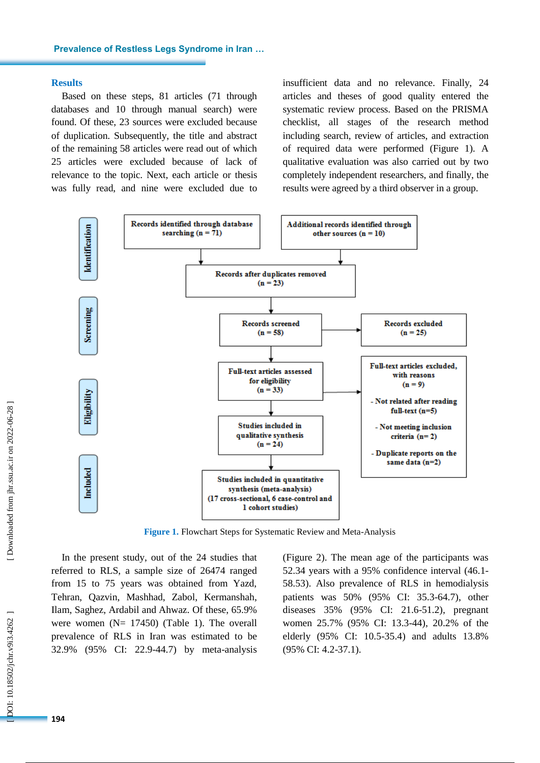#### **Results**

Based on these steps, 81 articles (71 through databases and 10 through manual search) were found. Of these, 23 sources were excluded because of duplication. Subsequently, the title and abstract of the remaining 58 articles were read out of which 25 articles were excluded because of lack of relevance to the topic. Next, each article or thesis was fully read, and nine were excluded due to

insufficient data and no relevance . Finally, 24 articles and theses of good quality entered the systematic review process. Based on the PRISMA checklist, all stages of the research method including search, review of articles, and extraction of required data were performed (Figure 1). A qualitative evaluation was also carried out by two completely independent researchers , and finally , the results were agreed by a third observer in a group.



Figure 1. Flowchart Steps for Systematic Review and Meta-Analysis

In the present study, out of the 24 studies that referred to RLS, a sample size of 26474 ranged from 15 to 75 years was obtained from Yazd, Tehran, Qazvin, Mashhad, Zabol, Kermanshah, Ilam, Saghez, Ardabil and Ahwaz. Of these, 65.9% were women (N= 17450) (Table 1). The overall prevalence of RLS in Iran was estimated to be 32.9% (95% CI: 22.9 -44.7) by meta -analysis

(Figure 2). The mean age of the participants was 52.34 years with a 95% confidence interval (46.1-58.53). Also prevalence of RLS in hemodialysis patients was 50% (95% CI: 35.3 -64.7), other diseases 35% (95% CI: 21.6 -51.2), pregnant women 25.7% (95% CI: 13.3 -44), 20.2% of the elderly (95% CI: 10.5 -35.4) and adults 13.8% (95% CI: 4.2 -37.1).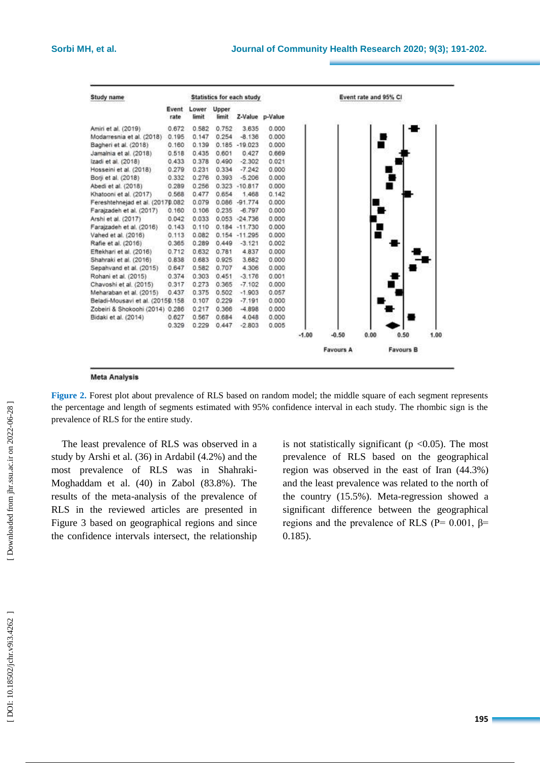

#### **Meta Analysis**

**Figure 2.** Forest plot about prevalence of RLS based on random model; the middle square of each segment represents the percentage and length of segments estimated with 95% confidence interval in each study. The rhombic sign is the prevalence of RLS for the entire study.

The least prevalence of RLS was observed in a study by Arshi et al. (36) in Ardabil (4.2%) and the most prevalence of RLS was in Shahraki - Moghaddam et al. (40) in Zabol (83.8%). The results of the meta -analysis of the prevalence of RLS in the reviewed articles are presented in Figure 3 based on geographical regions and since the confidence intervals intersect, the relationship

is not statistically significant ( $p$  <0.05). The most prevalence of RLS based on the geographical region was observed in the east of Iran (44.3%) and the least prevalence was related to the north of the country (15.5%). Meta -regression showed a significant difference between the geographical regions and the prevalence of RLS ( $P = 0.001$ ,  $β =$ 0.185).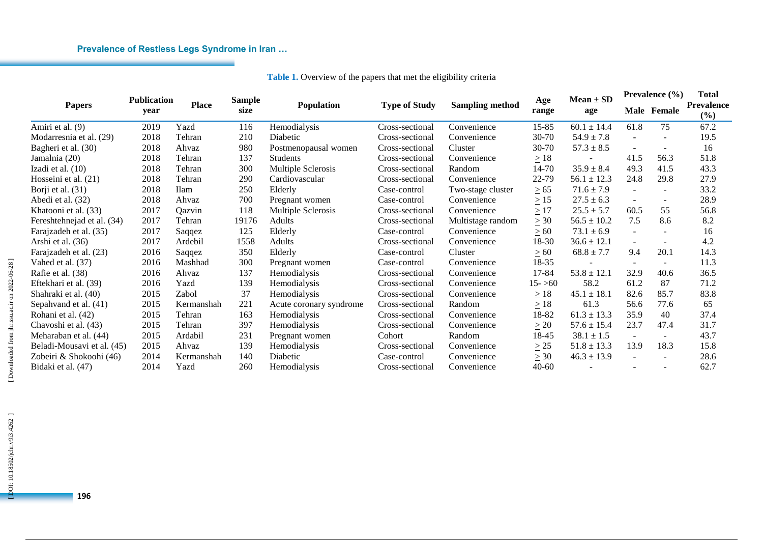| <b>Papers</b>              | <b>Publication</b> |              | <b>Sample</b> |                         |                      |                        | Age        | $\boldsymbol{Mean} \pm \boldsymbol{SD}$ | Prevalence $(\% )$       |             | <b>Total</b>                                      |  |
|----------------------------|--------------------|--------------|---------------|-------------------------|----------------------|------------------------|------------|-----------------------------------------|--------------------------|-------------|---------------------------------------------------|--|
|                            | year               | <b>Place</b> | size          | <b>Population</b>       | <b>Type of Study</b> | <b>Sampling method</b> | range      | age                                     |                          | Male Female | <b>Prevalence</b><br>$\left( \frac{9}{6} \right)$ |  |
| Amiri et al. (9)           | 2019               | Yazd         | 116           | Hemodialysis            | Cross-sectional      | Convenience            | 15-85      | $60.1 \pm 14.4$                         | 61.8                     | 75          | 67.2                                              |  |
| Modarresnia et al. (29)    | 2018               | Tehran       | 210           | Diabetic                | Cross-sectional      | Convenience            | $30 - 70$  | $54.9 \pm 7.8$                          | $\sim$                   |             | 19.5                                              |  |
| Bagheri et al. (30)        | 2018               | Ahvaz        | 980           | Postmenopausal women    | Cross-sectional      | Cluster                | $30 - 70$  | $57.3 \pm 8.5$                          | $\overline{\phantom{a}}$ |             | 16                                                |  |
| Jamalnia (20)              | 2018               | Tehran       | 137           | <b>Students</b>         | Cross-sectional      | Convenience            | $\geq$ 18  |                                         | 41.5                     | 56.3        | 51.8                                              |  |
| Izadi et al. $(10)$        | 2018               | Tehran       | 300           | Multiple Sclerosis      | Cross-sectional      | Random                 | 14-70      | $35.9 \pm 8.4$                          | 49.3                     | 41.5        | 43.3                                              |  |
| Hosseini et al. (21)       | 2018               | Tehran       | 290           | Cardiovascular          | Cross-sectional      | Convenience            | 22-79      | $56.1 \pm 12.3$                         | 24.8                     | 29.8        | 27.9                                              |  |
| Borji et al. (31)          | 2018               | <b>Ilam</b>  | 250           | Elderly                 | Case-control         | Two-stage cluster      | $\geq 65$  | $71.6 \pm 7.9$                          | $\sim$                   |             | 33.2                                              |  |
| Abedi et al. (32)          | 2018               | Ahvaz        | 700           | Pregnant women          | Case-control         | Convenience            | $\geq$ 15  | $27.5 \pm 6.3$                          | $\sim$                   |             | 28.9                                              |  |
| Khatooni et al. (33)       | 2017               | Qazvin       | 118           | Multiple Sclerosis      | Cross-sectional      | Convenience            | $\geq$ 17  | $25.5 \pm 5.7$                          | 60.5                     | 55          | 56.8                                              |  |
| Fereshtehnejad et al. (34) | 2017               | Tehran       | 19176         | <b>Adults</b>           | Cross-sectional      | Multistage random      | $\geq 30$  | $56.5 \pm 10.2$                         | 7.5                      | 8.6         | 8.2                                               |  |
| Farajzadeh et al. (35)     | 2017               | Saqqez       | 125           | Elderly                 | Case-control         | Convenience            | $\geq 60$  | $73.1 \pm 6.9$                          | $\blacksquare$           |             | 16                                                |  |
| Arshi et al. (36)          | 2017               | Ardebil      | 1558          | <b>Adults</b>           | Cross-sectional      | Convenience            | 18-30      | $36.6 \pm 12.1$                         | $\sim$                   |             | 4.2                                               |  |
| Farajzadeh et al. (23)     | 2016               | Saqqez       | 350           | Elderly                 | Case-control         | Cluster                | $\geq 60$  | $68.8 \pm 7.7$                          | 9.4                      | 20.1        | 14.3                                              |  |
| Vahed et al. $(37)$        | 2016               | Mashhad      | 300           | Pregnant women          | Case-control         | Convenience            | 18-35      |                                         | $\overline{\phantom{a}}$ |             | 11.3                                              |  |
| Rafie et al. (38)          | 2016               | Ahvaz        | 137           | Hemodialysis            | Cross-sectional      | Convenience            | 17-84      | $53.8 \pm 12.1$                         | 32.9                     | 40.6        | 36.5                                              |  |
| Eftekhari et al. (39)      | 2016               | Yazd         | 139           | Hemodialysis            | Cross-sectional      | Convenience            | $15 - 560$ | 58.2                                    | 61.2                     | 87          | 71.2                                              |  |
| Shahraki et al. (40)       | 2015               | Zabol        | 37            | Hemodialysis            | Cross-sectional      | Convenience            | $\geq$ 18  | $45.1 \pm 18.1$                         | 82.6                     | 85.7        | 83.8                                              |  |
| Sepahvand et al. (41)      | 2015               | Kermanshah   | 221           | Acute coronary syndrome | Cross-sectional      | Random                 | $\geq$ 18  | 61.3                                    | 56.6                     | 77.6        | 65                                                |  |
| Rohani et al. (42)         | 2015               | Tehran       | 163           | Hemodialysis            | Cross-sectional      | Convenience            | 18-82      | $61.3 \pm 13.3$                         | 35.9                     | 40          | 37.4                                              |  |
| Chavoshi et al. (43)       | 2015               | Tehran       | 397           | Hemodialysis            | Cross-sectional      | Convenience            | $\geq 20$  | $57.6 \pm 15.4$                         | 23.7                     | 47.4        | 31.7                                              |  |
| Meharaban et al. (44)      | 2015               | Ardabil      | 231           | Pregnant women          | Cohort               | Random                 | 18-45      | $38.1 \pm 1.5$                          | $\sim$                   |             | 43.7                                              |  |
| Beladi-Mousavi et al. (45) | 2015               | Ahvaz        | 139           | Hemodialysis            | Cross-sectional      | Convenience            | $\geq$ 25  | $51.8 \pm 13.3$                         | 13.9                     | 18.3        | 15.8                                              |  |
| Zobeiri & Shokoohi (46)    | 2014               | Kermanshah   | 140           | Diabetic                | Case-control         | Convenience            | $\geq 30$  | $46.3 \pm 13.9$                         | $\sim$                   |             | 28.6                                              |  |
| Bidaki et al. (47)         | 2014               | Yazd         | 260           | Hemodialysis            | Cross-sectional      | Convenience            | $40 - 60$  |                                         |                          |             | 62.7                                              |  |

## **Table 1.** Overview of the papers that met the eligibility criteria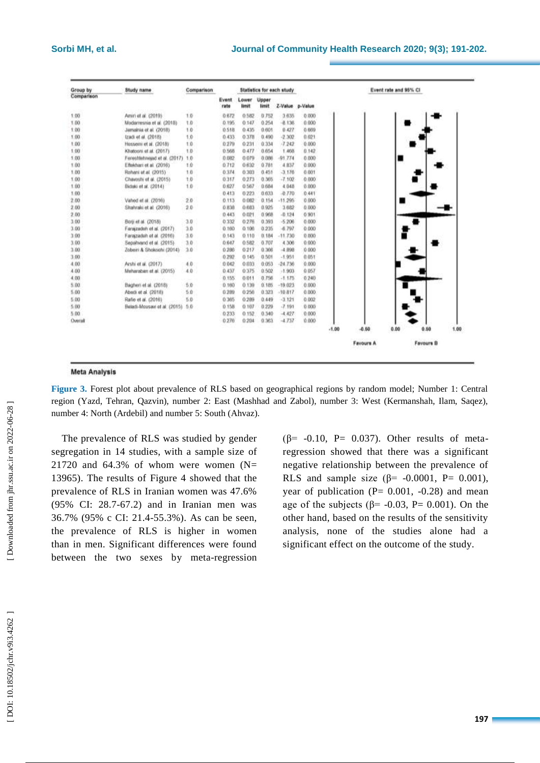

### **Meta Analysis**

**Figure 3.** Forest plot about prevalence of RLS based on geographical regions by random model; Number 1: Central region (Yazd, Tehran, Qazvin), number 2: East (Mashhad and Zabol), number 3: West (Kermanshah, Ilam, Saqez), number 4: North (Ardebil) and number 5: South (Ahvaz).

The prevalence of RLS was studied by gender segregation in 14 studies, with a sample size of 21720 and 64.3% of whom were women  $(N=$ 13965). The results of Figure 4 showed that the prevalence of RLS in Iranian women was 47.6% (95% CI: 28.7 -67.2) and in Iranian men was 36.7% (95% c CI: 21.4 -55.3%) . As can be seen, the prevalence of RLS is higher in women than in men. Significant differences were found between the two sexes by meta -regression

 $(β= -0.10, P= 0.037)$ . Other results of metaregression showed that there was a significant negative relationship between the prevalence of RLS and sample size ( $\beta$ = -0.0001, P= 0.001), year of publication  $(P = 0.001, -0.28)$  and mean age of the subjects ( $\beta$ = -0.03, P= 0.001). On the other hand, based on the results of the sensitivity analysis, none of the studies alone had a significant effect on the outcome of the study.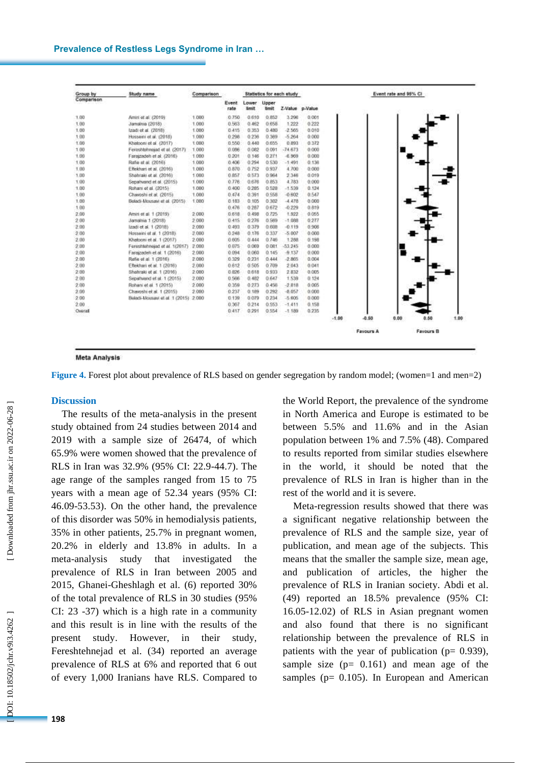| Group by<br>Comparison | Study name.                          | Comparison | Statistics for each study |                |                |                 |       |         | Event rate and 95% CI |      |                  |      |  |
|------------------------|--------------------------------------|------------|---------------------------|----------------|----------------|-----------------|-------|---------|-----------------------|------|------------------|------|--|
|                        |                                      |            | Event<br>rate             | Lower<br>limit | Upper<br>limit | Z-Value p-Value |       |         |                       |      |                  |      |  |
| 1.00                   | Aniiti et al. (2019):                | 1,000      | 0.750                     | 0.610          | 0.852          | 3.298           | 0.001 |         |                       |      |                  |      |  |
| 1.00                   | Janaina (2018)                       | 1.000      | 0.563                     | 0.462          | 0.658          | 1.222           | 0.222 |         |                       |      |                  |      |  |
| 1.00                   | Izadi et al. (2018).                 | 1.000      | 0.415                     | 0.353          | 0.480          | $-2.566$        | 0.010 |         |                       |      |                  |      |  |
| 3.00                   | Hossemi et al. (2018)                | 1.000      | 0.296                     | 0.236          | 0.369          | $-5.964$        | 0.000 |         |                       |      |                  |      |  |
| 1.00                   | Khatooni et al. (2017)               | 1.000      | 0.550                     | 0.440          | 0.055          | 0.893           | 0.372 |         |                       |      |                  |      |  |
| 1.00                   | Fereshlehneiad et al. (2017)         | 1.000      | 0.086                     | 0.082          | 0.001          | $-74.673$       | 0.000 |         |                       |      |                  |      |  |
| 1.00                   | Faragondoh et al. (2016)             | 1.000      | 0.201                     | 0.146          | 0.271          | $-0.909$        | 0.000 |         |                       |      |                  |      |  |
| 1.00                   | Rafia at al. (2016)                  | 1.000      | 0.406                     | 0.294          | 0.530          | $-1.491$        | 0.136 |         |                       |      |                  |      |  |
| 1.00                   | Eftekhan et al. (2016)               | 1.000      | 0.870                     | 0.752          | 0.937          | 4.700           | 0.000 |         |                       |      |                  |      |  |
| 1.00                   | Shahraki et al. (2016)               | 1.000      | 0.857                     | 0.573          | 0.964          | 2.346           | 0.019 |         |                       |      |                  |      |  |
| 1.00                   | Sepahvand et al. (2015)              | 1.000      | 0.778                     | 0.676          | 0.853          | 4.783           | 0.000 |         |                       |      |                  |      |  |
| 1.00                   | Roham of al. (2015).                 | 1.000      | 0.400                     | 0.285          | 0.528          | $-1.539$        | 0.124 |         |                       |      |                  |      |  |
| 1.00                   | Chavoshi et al. (2015)               | 1.000      | 0.474                     | 0.391          | 0.558          | $-0.602$        | 0.547 |         |                       |      |                  |      |  |
| 1.00                   | Beladi-Mousavi et al. (2015)         | 1,000      | 0.183                     | 0:105          | 0.302          | $-4.478$        | 0.000 |         |                       |      |                  |      |  |
| 1.00                   |                                      |            | 0.476                     | 0.287          | 0.672          | $-0.229$        | 0.819 |         |                       |      |                  |      |  |
| 2.00                   | Amin' et al. 1 (2019)                | 2.000      | 0.618                     | 0.499          | 0.725          | 1922            | 0.055 |         |                       |      |                  |      |  |
| 2.00                   | Janama 1 (2018).                     | 2000       | 0.415                     | 0.276          | 0.569          | $-1.088$        | 0.277 |         |                       |      |                  |      |  |
| 200                    | Izadi et al. 1 (2018)                | 2.000      | 0.493                     | 0.379          | 0.608          | $-0.119$        | 0.906 |         |                       |      |                  |      |  |
| 2.00                   | Hosseini et al. 1 (2018).            | 2.000      | 0.248                     | 0.176          | 0.337          | $-5.007$        | 0.000 |         |                       |      |                  |      |  |
| 2.00                   | Khalponi et al. 1 (2017).            | 2.000      | 0.005                     | 0.444          | 0.740          | 1.268           | 0.398 |         |                       |      |                  |      |  |
| 2.00                   | Fereshlehnejad et al. 1(2017)        | 2.000      | 0.075                     | 0.069          | 0.081          | $-53.245$       | 0.000 |         |                       |      |                  |      |  |
| 2.00                   | Faraizadeh et al. 1 (2016).          | 2.000      | 0.094                     | 0.060          | 0.145          | $-9.137$        | 0.000 |         |                       |      |                  |      |  |
| 2.00                   | Rafia et al. 1 (2016).               | 2.000      | 0.329                     | 0.231          | 0.444          | $-2.865$        | 0.004 |         |                       |      |                  |      |  |
| 200                    | Eflekhari et al. 1 (2016)            | 2.000      | 0.612                     | 0.505          | 0.709          | 2.043           | 0.041 |         |                       |      |                  |      |  |
| 2.00                   | Shahraki et al. 1 (2016)             | 2.000      | 0.826                     | 0.618          | 0.933          | 2.832           | 0.005 |         |                       |      |                  |      |  |
| 2.00                   | Sepatwand et al. 1 (2015)            | 2.000      | 0.566                     | 0.482          | 0.647          | 1.539           | 0.124 |         |                       |      |                  |      |  |
| 2.00                   | Rohani et al. 1 (2015)               | 2.000      | 0.359                     | 0.273          | 0.456          | $-2.818$        | 0.005 |         |                       |      |                  |      |  |
| 2.00                   | Chavoshi et al. 1 (2015)             | 2.000      | 0.237                     | 0.189          | 0.292          | $-0.057$        | 0.000 |         |                       |      |                  |      |  |
| 2.00                   | Beladi-Mousavi et al. 1 (2015) 2 000 |            | 0.139                     | 0.079          | 0.234          | $-5.005$        | 0.000 |         |                       |      |                  |      |  |
| 2.00                   |                                      |            | 0.367                     | 0.214          | 0.553          | $-1.411$        | 0.158 |         |                       |      |                  |      |  |
| Owinal                 |                                      |            | 0.417                     | 0.291          | 0.554          | $-1.189$        | 0.235 |         |                       |      |                  |      |  |
| 23 E E .C              |                                      |            |                           |                |                |                 |       | $-1.00$ | $-0.50$               | 0.00 | 0.50             | 1.00 |  |
|                        |                                      |            |                           |                |                |                 |       |         |                       |      |                  |      |  |
|                        |                                      |            |                           |                |                |                 |       |         | <b>Favours A</b>      |      | <b>Favours B</b> |      |  |

#### **Meta Analysis**

**Figure 4.** Forest plot about prevalence of RLS based on gender segregation by random model; (women=1 and men=2)

## **Discussion**

The results of the meta -analysis in the present study obtained from 24 studies between 2014 and 2019 with a sample size of 26474, of which 65.9% were women showed that the prevalence of RLS in Iran was 32.9% (95% CI: 22.9 -44.7). The age range of the samples ranged from 15 to 75 years with a mean age of 52.34 years (95% CI: 46.09 -53.53). On the other hand, the prevalence of this disorder was 50% in hemodialysis patients, 35% in other patients, 25.7% in pregnant women, 20.2% in elderly and 13.8% in adults. In a meta-analysis study that investigated the prevalence of RLS in Iran between 2005 and 2015, Ghanei -Gheshlagh et al . (6) reported 30% of the total prevalence of RLS in 30 studies (95% CI: 23 -37) which is a high rate in a community and this result is in line with the results of the present study. However, in their study, Fereshtehnejad et al . (34) reported an average prevalence of RLS at 6% and reported that 6 out of every 1,000 Iranians have RLS . Compared to the World Report, the prevalence of the syndrome in North America and Europe is estimated to be between 5.5% and 11.6% and in the Asian population between 1% and 7.5% (48). Compared to results reported from similar studies elsewhere in the world, it should be noted that the prevalence of RLS in Iran is higher than in the rest of the world and it is severe.

Meta -regression results showed that there was a significant negative relationship between the prevalence of RLS and the sample size, year of publication, and mean age of the subjects. This means that the smaller the sample size, mean age, and publication of articles, the higher the prevalence of RLS in Iranian society. Abdi et al. (49) reported an 18.5% prevalence (95% CI: 16.05 -12.02) of RLS in Asian pregnant women and also found that there is no significant relationship between the prevalence of RLS in patients with the year of publication ( $p = 0.939$ ), sample size  $(p= 0.161)$  and mean age of the samples ( $p= 0.105$ ). In European and American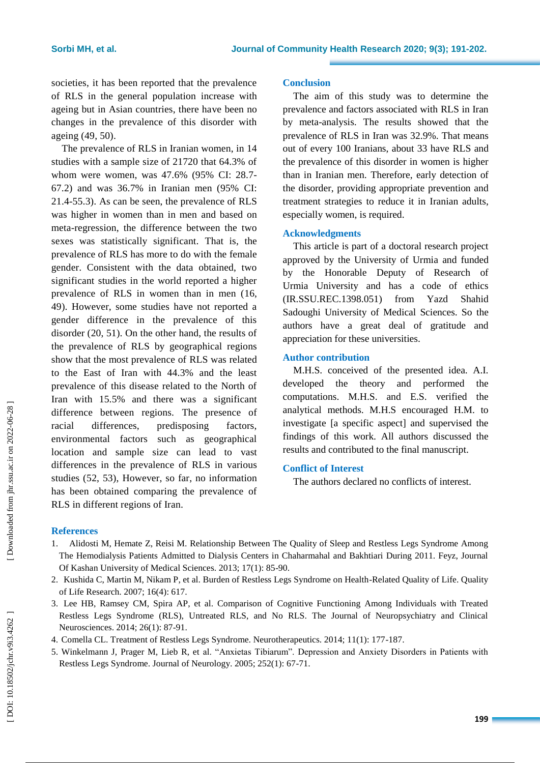societies , it has been reported that the prevalence of RLS in the general population increase with ag eing but in Asian countries, there have been no change s in the prevalence of this disorder with ag eing (49, 50).

The prevalence of RLS in Iranian women, in 14 studies with a sample size of 21720 that 64.3% of whom were women, was 47.6% (95% CI: 28.7 - 67.2) and was 36.7% in Iranian men (95% CI: 21.4 -55.3). As can be seen, the prevalence of RLS was higher in women than in men and based on meta -regression, the difference between the two sexes was statistically significant. That is, the prevalence of RLS has more to do with the female gender. Consistent with the data obtained, two significant studies in the world reported a higher prevalence of RLS in women than in men (16, 49). However, some studies have not reported a gender difference in the prevalence of this disorder (20, 51). On the other hand, the results of the prevalence of RLS by geographical regions show that the most prevalence of RLS was related to the East of Iran with 44.3% and the least prevalence of this disease related to the North of Iran with 15.5% and there was a significant difference between regions. The presence of racial differences, predisposing factors, environmental factors such as geographical location and sample size can lead to vast differences in the prevalence of RLS in various studies (52, 53), However, so far , no information has been obtained comparing the prevalence of RLS in different regions of Iran.

#### **Conclusion**

The aim of this study was to determine the prevalence and factors associated with RLS in Iran by meta -analysis. The results showed that the prevalence of RLS in Iran was 32.9%. That means out of every 100 Iranians, about 33 have RLS and the prevalence of this disorder in women is higher than in Iranian men. Therefore, early detection of the disorder, providing appropriate prevention and treatment strategies to reduce it in Iranian adults, especially women, is required .

## **Acknowledgments**

This article is part of a doctoral research project approved by the University of Urmia and funded by the Honorable Deputy of Research of Urmia University and has a code of ethics (IR.SSU.REC.1398.051) from Yazd Shahid Sadoughi University of Medical Sciences. So the authors have a great deal of gratitude and appreciation for these universities.

## **Author contribution**

M.H.S. conceived of the presented idea. A.I. developed the theory and performed the computations. M.H.S. and E.S. verified the analytical methods. M.H.S encouraged H.M. to investigate [a specific aspect] and supervised the findings of this work. All authors discussed the results and contributed to the final manuscript.

## **Conflict of Interest**

The authors declared no conflicts of interest.

## **References**

- 1. Alidosti M, Hemate Z, Reisi M. Relationship Between The Quality of Sleep and Restless Legs Syndrome Among The Hemodialysis Patients Admitted to Dialysis Centers in Chaharmahal and Bakhtiari During 2011. Feyz, Journal Of Kashan University of Medical Sciences. 2013; 17(1): 85 -90.
- 2. Kushida C, Martin M, Nikam P, et al. Burden of Restless Legs Syndrome on Health -Related Quality of Life. Quality of Life Research. 2007; 16(4): 617.
- 3. Lee HB, Ramsey CM, Spira AP, et al. Comparison of Cognitive Functioning Among Individuals with Treated Restless Legs Syndrome (RLS), Untreated RLS, and No RLS. The Journal of Neuropsychiatry and Clinical Neurosciences. 2014; 26(1): 87 -91.
- 4. Comella CL. Treatment of Restless Legs Syndrome. Neurotherapeutics. 2014; 11(1): 177 -187.
- 5. Winkelmann J, Prager M, Lieb R, et al. "Anxietas Tibiarum". Depression and Anxiety Disorders in Patients with Restless Legs Syndrome. Journal of Neurology. 2005; 252(1): 67 -71.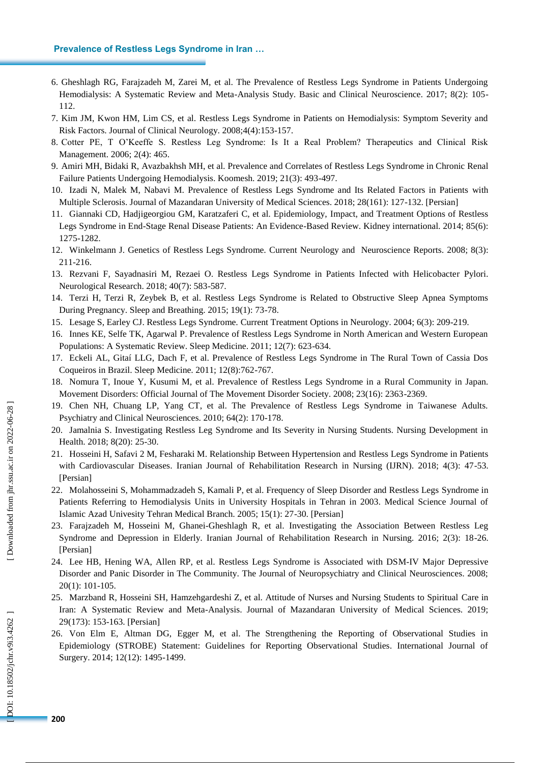#### **Prevalence of Restless Legs Syndrome in Iran …**

- 6. Gheshlagh RG, Farajzadeh M, Zarei M, et al. The Prevalence of Restless Legs Syndrome in Patients Undergoing Hemodialysis: A Systematic Review and Meta-Analysis Study. Basic and Clinical Neuroscience. 2017; 8(2): 105-112.
- 7. Kim JM, Kwon HM, Lim CS, et al. Restless Legs Syndrome in Patients on Hemodialysis: Symptom Severity and Risk Factors. Journal of Clinical Neurology. 2008;4(4):153 -157.
- 8. Cotter PE, T O'Keeffe S. Restless Leg Syndrome: Is It a Real Problem? Therapeutics and Clinical Risk Management. 2006; 2(4): 465.
- 9. Amiri MH, Bidaki R, Avazbakhsh MH, et al. Prevalence and Correlates of Restless Legs Syndrome in Chronic Renal Failure Patients Undergoing Hemodialysis. Koomesh. 2019; 21(3): 493 -497.
- 10. Izadi N, Malek M, Nabavi M. Prevalence of Restless Legs Syndrome and Its Related Factors in Patients with Multiple Sclerosis. Journal of Mazandaran University of Medical Sciences. 2018; 28(161): 127 -132. [Persian]
- 11. Giannaki CD, Hadjigeorgiou GM, Karatzaferi C, et al. Epidemiology, Impact, and Treatment Options of Restless Legs Syndrome in End -Stage Renal Disease Patients: An Evidence -Based Review. Kidney international. 2014; 85(6): 1275 -1282.
- 12. Winkelmann J. Genetics of Restless Legs Syndrome. Current Neurology and Neuroscience Reports. 2008; 8(3): 211 -216.
- 13. Rezvani F, Sayadnasiri M, Rezaei O. Restless Legs Syndrome in Patients Infected with Helicobacter Pylori. Neurological Research. 2018; 40(7): 583 -587.
- 14. Terzi H, Terzi R, Zeybek B, et al. Restless Legs Syndrome is Related to Obstructive Sleep Apnea Symptoms During Pregnancy. Sleep and Breathing. 2015; 19(1): 73 -78.
- 15. Lesage S, Earley CJ. Restless Legs Syndrome. Current Treatment Options in Neurology. 2004; 6(3): 209 -219.
- 16. Innes KE, Selfe TK, Agarwal P. Prevalence of Restless Legs Syndrome in North American and Western European Populations: A Systematic Review. Sleep Medicine. 2011; 12(7): 623-634.
- 17. Eckeli AL, Gitaí LLG, Dach F, et al. Prevalence of Restless Legs Syndrome in The Rural Town of Cassia Dos Coqueiros in Brazil. Sleep Medicine. 2011; 12(8):762 -767.
- 18. Nomura T, Inoue Y, Kusumi M, et al. Prevalence of Restless Legs Syndrome in a Rural Community in Japan. Movement Disorders: Official Journal of The Movement Disorder Society. 2008; 23(16): 2363 -2369.
- 19. Chen NH, Chuang LP, Yang CT, et al. The Prevalence of Restless Legs Syndrome in Taiwanese Adults. Psychiatry and Clinical Neurosciences. 2010; 64(2): 170 -178.
- 20. Jamalnia S. Investigating Restless Leg Syndrome and Its Severity in Nursing Students. Nursing Development in Health. 2018; 8(20): 25 -30.
- 21. Hosseini H, Safavi 2 M, Fesharaki M. Relationship Between Hypertension and Restless Legs Syndrome in Patients with Cardiovascular Diseases. Iranian Journal of Rehabilitation Research in Nursing (IJRN). 2018; 4(3): 47-53. [Persian]
- 22. Molahosseini S, Mohammadzadeh S, Kamali P, et al. Frequency of Sleep Disorder and Restless Legs Syndrome in Patients Referring to Hemodialysis Units in University Hospitals in Tehran in 2003. Medical Science Journal of Islamic Azad Univesity Tehran Medical Branch. 2005; 15(1): 27 -30. [Persian]
- 23. Farajzadeh M, Hosseini M, Ghanei -Gheshlagh R, et al. Investigating the Association Between Restless Leg Syndrome and Depression in Elderly. Iranian Journal of Rehabilitation Research in Nursing. 2016; 2(3): 18 -26. [Persian]
- 24. Lee HB, Hening WA, Allen RP, et al. Restless Legs Syndrome is Associated with DSM-IV Major Depressive Disorder and Panic Disorder in The Community. The Journal of Neuropsychiatry and Clinical Neurosciences. 2008; 20(1): 101 -105.
- 25. Marzband R, Hosseini SH, Hamzehgardeshi Z, et al. Attitude of Nurses and Nursing Students to Spiritual Care in Iran: A Systematic Review and Meta -Analysis. Journal of Mazandaran University of Medical Sciences. 2019; 29(173): 153 -163. [Persian]
- 26. Von Elm E, Altman DG, Egger M, et al. The Strengthening the Reporting of Observational Studies in Epidemiology (STROBE) Statement: Guidelines for Reporting Observational Studies. International Journal of Surgery. 2014; 12(12): 1495 -1499.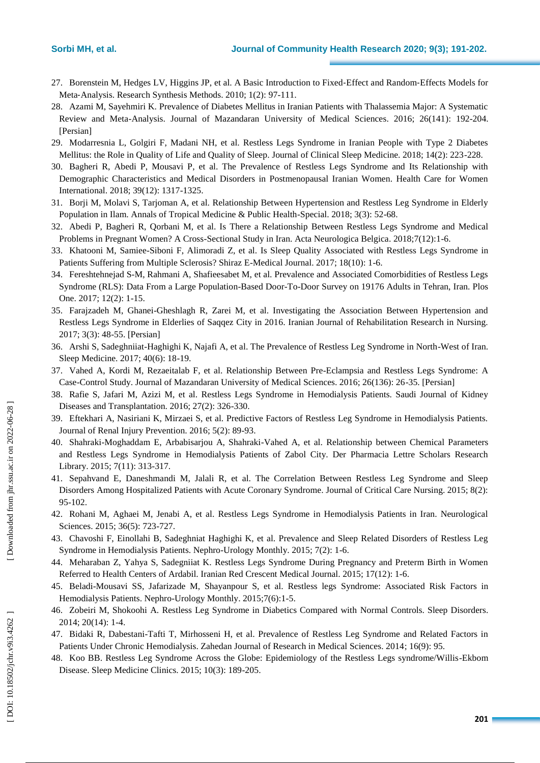- 27. Borenstein M, Hedges LV, Higgins JP, et al. A Basic Introduction to Fixed ‐Effect and Random ‐Effects Models for Meta ‐Analysis. Research Synthesis Methods. 2010; 1(2): 97 -111.
- 28. Azami M, Sayehmiri K. Prevalence of Diabetes Mellitus in Iranian Patients with Thalassemia Major: A Systematic Review and Meta -Analysis. Journal of Mazandaran University of Medical Sciences. 2016; 26(141): 192 -204. [Persian]
- 29. Modarresnia L, Golgiri F, Madani NH, et al. Restless Legs Syndrome in Iranian People with Type 2 Diabetes Mellitus: the Role in Quality of Life and Quality of Sleep. Journal of Clinical Sleep Medicine. 2018; 14(2): 223 -228.
- 30. Bagheri R, Abedi P, Mousavi P, et al. The Prevalence of Restless Legs Syndrome and Its Relationship with Demographic Characteristics and Medical Disorders in Postmenopausal Iranian Women. Health Care for Women International. 2018; 39(12): 1317 -1325.
- 31. Borji M, Molavi S, Tarjoman A, et al. Relationship Between Hypertension and Restless Leg Syndrome in Elderly Population in Ilam. Annals of Tropical Medicine & Public Health-Special. 2018; 3(3): 52-68.
- 32. Abedi P, Bagheri R, Qorbani M, et al. Is There a Relationship Between Restless Legs Syndrome and Medical Problems in Pregnant Women? A Cross -Sectional Study in Iran. Acta Neurologica Belgica. 2018;7(12):1 -6.
- 33. Khatooni M, Samiee -Siboni F, Alimoradi Z, et al. Is Sleep Quality Associated with Restless Legs Syndrome in Patients Suffering from Multiple Sclerosis? Shiraz E -Medical Journal. 2017; 18(10): 1 -6.
- 34. Fereshtehnejad S -M, Rahmani A, Shafieesabet M, et al. Prevalence and Associated Comorbidities of Restless Legs Syndrome (RLS): Data From a Large Population-Based Door-To-Door Survey on 19176 Adults in Tehran, Iran. Plos One. 2017; 12(2): 1 -15.
- 35. Farajzadeh M, Ghanei -Gheshlagh R, Zarei M, et al. Investigating the Association Between Hypertension and Restless Legs Syndrome in Elderlies of Saqqez City in 2016. Iranian Journal of Rehabilitation Research in Nursing. 2017; 3(3): 48 -55. [Persian]
- 36. Arshi S, Sadeghniiat -Haghighi K, Najafi A, et al. The Prevalence of Restless Leg Syndrome in North -West of Iran. Sleep Medicine. 2017; 40(6): 18 -19.
- 37. Vahed A, Kordi M, Rezaeitalab F, et al. Relationship Between Pre -Eclampsia and Restless Legs Syndrome: A Case-Control Study. Journal of Mazandaran University of Medical Sciences. 2016; 26(136): 26-35. [Persian]
- 38. Rafie S, Jafari M, Azizi M, et al. Restless Legs Syndrome in Hemodialysis Patients. Saudi Journal of Kidney Diseases and Transplantation. 2016; 27(2): 326 -330.
- 39. Eftekhari A, Nasiriani K, Mirzaei S, et al. Predictive Factors of Restless Leg Syndrome in Hemodialysis Patients. Journal of Renal Injury Prevention. 2016; 5(2): 89 -93.
- 40. Shahraki -Moghaddam E, Arbabisarjou A, Shahraki -Vahed A, et al. Relationship between Chemical Parameters and Restless Legs Syndrome in Hemodialysis Patients of Zabol City. Der Pharmacia Lettre Scholars Research Library. 2015; 7(11): 313 -317.
- 41. Sepahvand E, Daneshmandi M, Jalali R, et al. The Correlation Between Restless Leg Syndrome and Sleep Disorders Among Hospitalized Patients with Acute Coronary Syndrome. Journal of Critical Care Nursing. 2015; 8(2): 95 -102.
- 42. Rohani M, Aghaei M, Jenabi A, et al. Restless Legs Syndrome in Hemodialysis Patients in Iran. Neurological Sciences. 2015; 36(5): 723 -727.
- 43. Chavoshi F, Einollahi B, Sadeghniat Haghighi K, et al. Prevalence and Sleep Related Disorders of Restless Leg Syndrome in Hemodialysis Patients. Nephro -Urology Monthly. 2015; 7(2): 1 -6.
- 44. Meharaban Z, Yahya S, Sadegniiat K. Restless Legs Syndrome During Pregnancy and Preterm Birth in Women Referred to Health Centers of Ardabil. Iranian Red Crescent Medical Journal. 2015; 17(12): 1 -6.
- 45. Beladi -Mousavi SS, Jafarizade M, Shayanpour S, et al. Restless legs Syndrome: Associated Risk Factors in Hemodialysis Patients. Nephro -Urology Monthly. 2015;7(6):1 -5.
- 46. Zobeiri M, Shokoohi A. Restless Leg Syndrome in Diabetics Compared with Normal Controls. Sleep Disorders. 2014; 20(14): 1 -4.
- 47. Bidaki R, Dabestani -Tafti T, Mirhosseni H, et al. Prevalence of Restless Leg Syndrome and Related Factors in Patients Under Chronic Hemodialysis. Zahedan Journal of Research in Medical Sciences. 2014; 16(9): 95.
- 48. Koo BB. Restless Leg Syndrome Across the Globe: Epidemiology of the Restless Legs syndrome/Willis -Ekbom Disease. Sleep Medicine Clinics. 2015; 10(3): 189 -205.